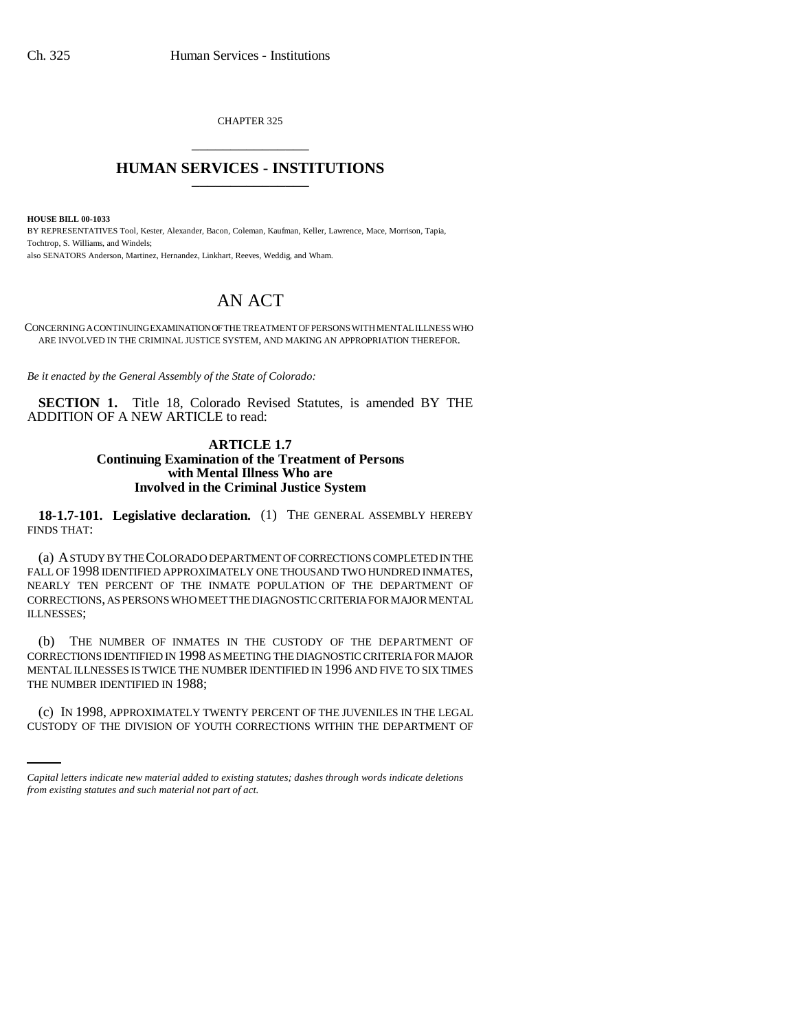CHAPTER 325 \_\_\_\_\_\_\_\_\_\_\_\_\_\_\_

## **HUMAN SERVICES - INSTITUTIONS** \_\_\_\_\_\_\_\_\_\_\_\_\_\_\_

**HOUSE BILL 00-1033** 

BY REPRESENTATIVES Tool, Kester, Alexander, Bacon, Coleman, Kaufman, Keller, Lawrence, Mace, Morrison, Tapia, Tochtrop, S. Williams, and Windels; also SENATORS Anderson, Martinez, Hernandez, Linkhart, Reeves, Weddig, and Wham.

## AN ACT

CONCERNING A CONTINUING EXAMINATION OF THE TREATMENT OF PERSONS WITH MENTAL ILLNESS WHO ARE INVOLVED IN THE CRIMINAL JUSTICE SYSTEM, AND MAKING AN APPROPRIATION THEREFOR.

*Be it enacted by the General Assembly of the State of Colorado:*

**SECTION 1.** Title 18, Colorado Revised Statutes, is amended BY THE ADDITION OF A NEW ARTICLE to read:

## **ARTICLE 1.7 Continuing Examination of the Treatment of Persons with Mental Illness Who are Involved in the Criminal Justice System**

**18-1.7-101. Legislative declaration.** (1) THE GENERAL ASSEMBLY HEREBY FINDS THAT:

(a) A STUDY BY THE COLORADO DEPARTMENT OF CORRECTIONS COMPLETED IN THE FALL OF 1998 IDENTIFIED APPROXIMATELY ONE THOUSAND TWO HUNDRED INMATES, NEARLY TEN PERCENT OF THE INMATE POPULATION OF THE DEPARTMENT OF CORRECTIONS, AS PERSONS WHO MEET THE DIAGNOSTIC CRITERIA FOR MAJOR MENTAL ILLNESSES;

(b) THE NUMBER OF INMATES IN THE CUSTODY OF THE DEPARTMENT OF CORRECTIONS IDENTIFIED IN 1998 AS MEETING THE DIAGNOSTIC CRITERIA FOR MAJOR MENTAL ILLNESSES IS TWICE THE NUMBER IDENTIFIED IN 1996 AND FIVE TO SIX TIMES THE NUMBER IDENTIFIED IN 1988;

(c) IN 1998, APPROXIMATELY TWENTY PERCENT OF THE JUVENILES IN THE LEGAL CUSTODY OF THE DIVISION OF YOUTH CORRECTIONS WITHIN THE DEPARTMENT OF

*Capital letters indicate new material added to existing statutes; dashes through words indicate deletions from existing statutes and such material not part of act.*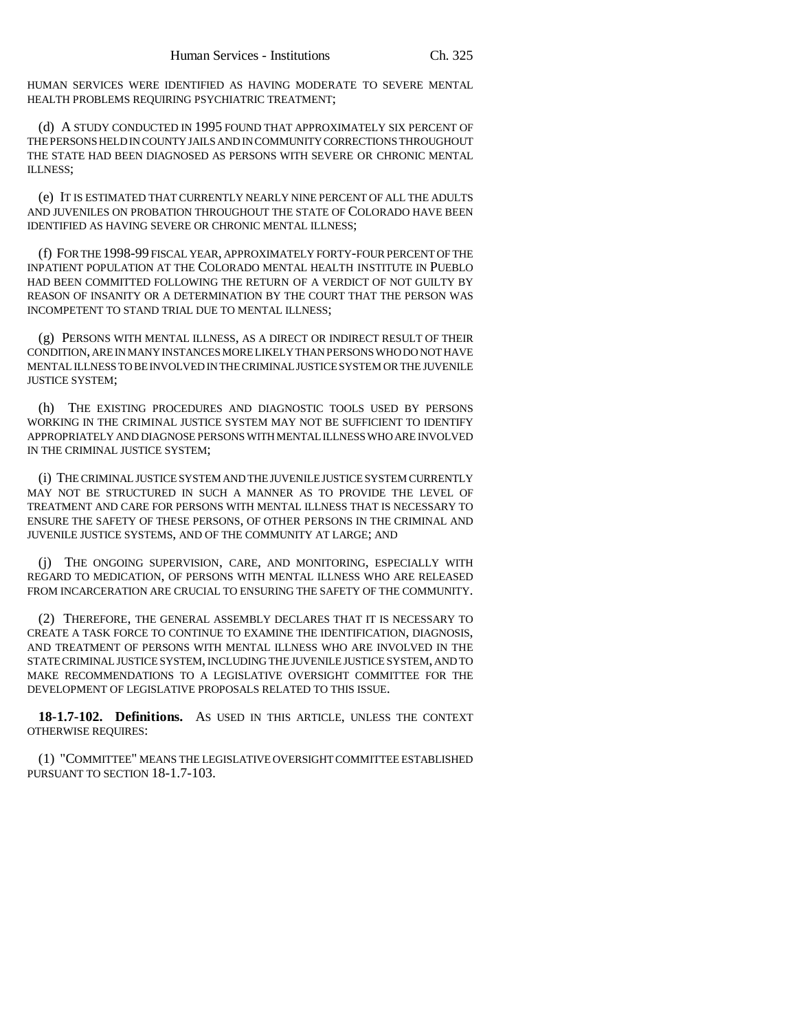HUMAN SERVICES WERE IDENTIFIED AS HAVING MODERATE TO SEVERE MENTAL HEALTH PROBLEMS REQUIRING PSYCHIATRIC TREATMENT;

(d) A STUDY CONDUCTED IN 1995 FOUND THAT APPROXIMATELY SIX PERCENT OF THE PERSONS HELD IN COUNTY JAILS AND IN COMMUNITY CORRECTIONS THROUGHOUT THE STATE HAD BEEN DIAGNOSED AS PERSONS WITH SEVERE OR CHRONIC MENTAL ILLNESS;

(e) IT IS ESTIMATED THAT CURRENTLY NEARLY NINE PERCENT OF ALL THE ADULTS AND JUVENILES ON PROBATION THROUGHOUT THE STATE OF COLORADO HAVE BEEN IDENTIFIED AS HAVING SEVERE OR CHRONIC MENTAL ILLNESS;

(f) FOR THE 1998-99 FISCAL YEAR, APPROXIMATELY FORTY-FOUR PERCENT OF THE INPATIENT POPULATION AT THE COLORADO MENTAL HEALTH INSTITUTE IN PUEBLO HAD BEEN COMMITTED FOLLOWING THE RETURN OF A VERDICT OF NOT GUILTY BY REASON OF INSANITY OR A DETERMINATION BY THE COURT THAT THE PERSON WAS INCOMPETENT TO STAND TRIAL DUE TO MENTAL ILLNESS;

(g) PERSONS WITH MENTAL ILLNESS, AS A DIRECT OR INDIRECT RESULT OF THEIR CONDITION, ARE IN MANY INSTANCES MORE LIKELY THAN PERSONS WHO DO NOT HAVE MENTAL ILLNESS TO BE INVOLVED IN THE CRIMINAL JUSTICE SYSTEM OR THE JUVENILE JUSTICE SYSTEM;

(h) THE EXISTING PROCEDURES AND DIAGNOSTIC TOOLS USED BY PERSONS WORKING IN THE CRIMINAL JUSTICE SYSTEM MAY NOT BE SUFFICIENT TO IDENTIFY APPROPRIATELY AND DIAGNOSE PERSONS WITH MENTAL ILLNESS WHO ARE INVOLVED IN THE CRIMINAL JUSTICE SYSTEM;

(i) THE CRIMINAL JUSTICE SYSTEM AND THE JUVENILE JUSTICE SYSTEM CURRENTLY MAY NOT BE STRUCTURED IN SUCH A MANNER AS TO PROVIDE THE LEVEL OF TREATMENT AND CARE FOR PERSONS WITH MENTAL ILLNESS THAT IS NECESSARY TO ENSURE THE SAFETY OF THESE PERSONS, OF OTHER PERSONS IN THE CRIMINAL AND JUVENILE JUSTICE SYSTEMS, AND OF THE COMMUNITY AT LARGE; AND

(j) THE ONGOING SUPERVISION, CARE, AND MONITORING, ESPECIALLY WITH REGARD TO MEDICATION, OF PERSONS WITH MENTAL ILLNESS WHO ARE RELEASED FROM INCARCERATION ARE CRUCIAL TO ENSURING THE SAFETY OF THE COMMUNITY.

(2) THEREFORE, THE GENERAL ASSEMBLY DECLARES THAT IT IS NECESSARY TO CREATE A TASK FORCE TO CONTINUE TO EXAMINE THE IDENTIFICATION, DIAGNOSIS, AND TREATMENT OF PERSONS WITH MENTAL ILLNESS WHO ARE INVOLVED IN THE STATE CRIMINAL JUSTICE SYSTEM, INCLUDING THE JUVENILE JUSTICE SYSTEM, AND TO MAKE RECOMMENDATIONS TO A LEGISLATIVE OVERSIGHT COMMITTEE FOR THE DEVELOPMENT OF LEGISLATIVE PROPOSALS RELATED TO THIS ISSUE.

**18-1.7-102. Definitions.** AS USED IN THIS ARTICLE, UNLESS THE CONTEXT OTHERWISE REQUIRES:

(1) "COMMITTEE" MEANS THE LEGISLATIVE OVERSIGHT COMMITTEE ESTABLISHED PURSUANT TO SECTION 18-1.7-103.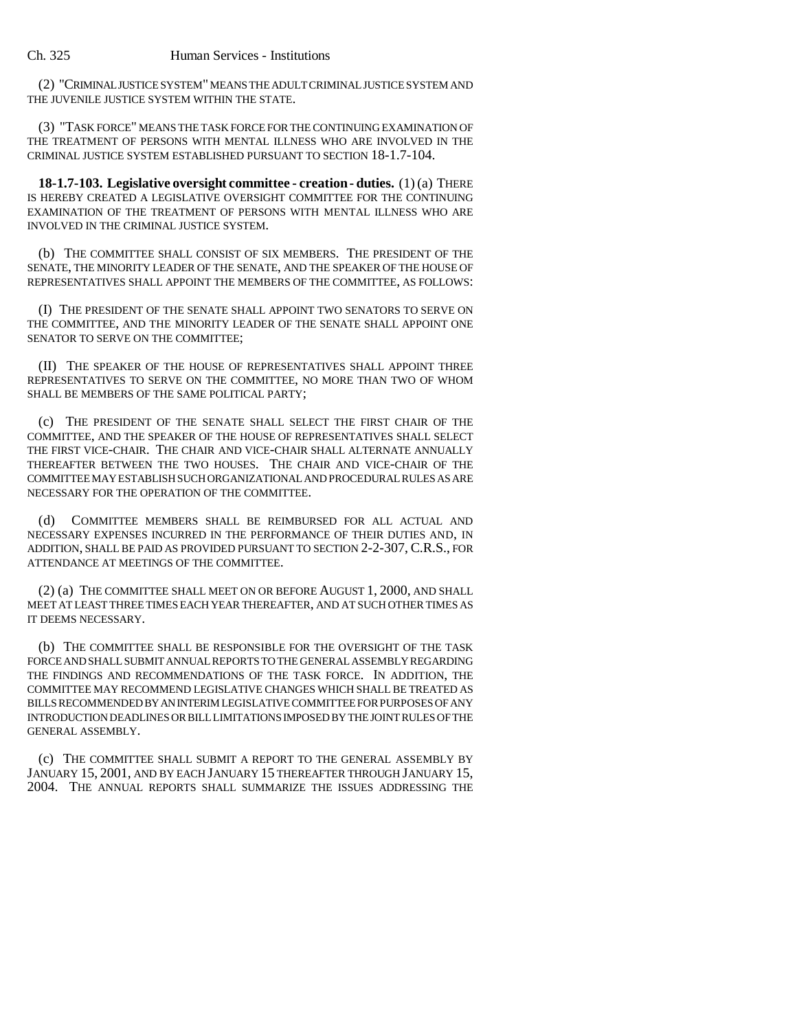(2) "CRIMINAL JUSTICE SYSTEM" MEANS THE ADULT CRIMINAL JUSTICE SYSTEM AND THE JUVENILE JUSTICE SYSTEM WITHIN THE STATE.

(3) "TASK FORCE" MEANS THE TASK FORCE FOR THE CONTINUING EXAMINATION OF THE TREATMENT OF PERSONS WITH MENTAL ILLNESS WHO ARE INVOLVED IN THE CRIMINAL JUSTICE SYSTEM ESTABLISHED PURSUANT TO SECTION 18-1.7-104.

**18-1.7-103. Legislative oversight committee - creation - duties.** (1) (a) THERE IS HEREBY CREATED A LEGISLATIVE OVERSIGHT COMMITTEE FOR THE CONTINUING EXAMINATION OF THE TREATMENT OF PERSONS WITH MENTAL ILLNESS WHO ARE INVOLVED IN THE CRIMINAL JUSTICE SYSTEM.

(b) THE COMMITTEE SHALL CONSIST OF SIX MEMBERS. THE PRESIDENT OF THE SENATE, THE MINORITY LEADER OF THE SENATE, AND THE SPEAKER OF THE HOUSE OF REPRESENTATIVES SHALL APPOINT THE MEMBERS OF THE COMMITTEE, AS FOLLOWS:

(I) THE PRESIDENT OF THE SENATE SHALL APPOINT TWO SENATORS TO SERVE ON THE COMMITTEE, AND THE MINORITY LEADER OF THE SENATE SHALL APPOINT ONE SENATOR TO SERVE ON THE COMMITTEE;

(II) THE SPEAKER OF THE HOUSE OF REPRESENTATIVES SHALL APPOINT THREE REPRESENTATIVES TO SERVE ON THE COMMITTEE, NO MORE THAN TWO OF WHOM SHALL BE MEMBERS OF THE SAME POLITICAL PARTY;

(c) THE PRESIDENT OF THE SENATE SHALL SELECT THE FIRST CHAIR OF THE COMMITTEE, AND THE SPEAKER OF THE HOUSE OF REPRESENTATIVES SHALL SELECT THE FIRST VICE-CHAIR. THE CHAIR AND VICE-CHAIR SHALL ALTERNATE ANNUALLY THEREAFTER BETWEEN THE TWO HOUSES. THE CHAIR AND VICE-CHAIR OF THE COMMITTEE MAY ESTABLISH SUCH ORGANIZATIONAL AND PROCEDURAL RULES AS ARE NECESSARY FOR THE OPERATION OF THE COMMITTEE.

(d) COMMITTEE MEMBERS SHALL BE REIMBURSED FOR ALL ACTUAL AND NECESSARY EXPENSES INCURRED IN THE PERFORMANCE OF THEIR DUTIES AND, IN ADDITION, SHALL BE PAID AS PROVIDED PURSUANT TO SECTION 2-2-307, C.R.S., FOR ATTENDANCE AT MEETINGS OF THE COMMITTEE.

(2) (a) THE COMMITTEE SHALL MEET ON OR BEFORE AUGUST 1, 2000, AND SHALL MEET AT LEAST THREE TIMES EACH YEAR THEREAFTER, AND AT SUCH OTHER TIMES AS IT DEEMS NECESSARY.

(b) THE COMMITTEE SHALL BE RESPONSIBLE FOR THE OVERSIGHT OF THE TASK FORCE AND SHALL SUBMIT ANNUAL REPORTS TO THE GENERAL ASSEMBLY REGARDING THE FINDINGS AND RECOMMENDATIONS OF THE TASK FORCE. IN ADDITION, THE COMMITTEE MAY RECOMMEND LEGISLATIVE CHANGES WHICH SHALL BE TREATED AS BILLS RECOMMENDED BY AN INTERIM LEGISLATIVE COMMITTEE FOR PURPOSES OF ANY INTRODUCTION DEADLINES OR BILL LIMITATIONS IMPOSED BY THE JOINT RULES OF THE GENERAL ASSEMBLY.

(c) THE COMMITTEE SHALL SUBMIT A REPORT TO THE GENERAL ASSEMBLY BY JANUARY 15, 2001, AND BY EACH JANUARY 15 THEREAFTER THROUGH JANUARY 15, 2004. THE ANNUAL REPORTS SHALL SUMMARIZE THE ISSUES ADDRESSING THE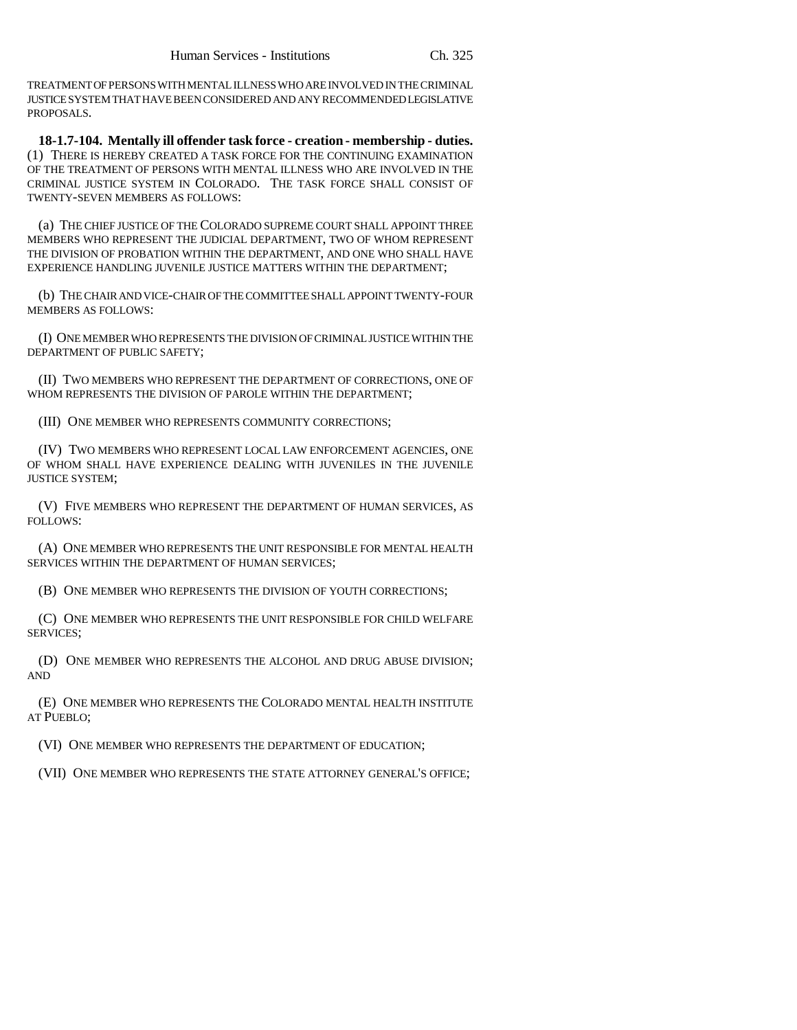TREATMENT OF PERSONS WITH MENTAL ILLNESS WHO ARE INVOLVED IN THE CRIMINAL JUSTICE SYSTEM THAT HAVE BEEN CONSIDERED AND ANY RECOMMENDED LEGISLATIVE PROPOSALS.

**18-1.7-104. Mentally ill offender task force - creation - membership - duties.** (1) THERE IS HEREBY CREATED A TASK FORCE FOR THE CONTINUING EXAMINATION OF THE TREATMENT OF PERSONS WITH MENTAL ILLNESS WHO ARE INVOLVED IN THE CRIMINAL JUSTICE SYSTEM IN COLORADO. THE TASK FORCE SHALL CONSIST OF TWENTY-SEVEN MEMBERS AS FOLLOWS:

(a) THE CHIEF JUSTICE OF THE COLORADO SUPREME COURT SHALL APPOINT THREE MEMBERS WHO REPRESENT THE JUDICIAL DEPARTMENT, TWO OF WHOM REPRESENT THE DIVISION OF PROBATION WITHIN THE DEPARTMENT, AND ONE WHO SHALL HAVE EXPERIENCE HANDLING JUVENILE JUSTICE MATTERS WITHIN THE DEPARTMENT;

(b) THE CHAIR AND VICE-CHAIR OF THE COMMITTEE SHALL APPOINT TWENTY-FOUR MEMBERS AS FOLLOWS:

(I) ONE MEMBER WHO REPRESENTS THE DIVISION OF CRIMINAL JUSTICE WITHIN THE DEPARTMENT OF PUBLIC SAFETY;

(II) TWO MEMBERS WHO REPRESENT THE DEPARTMENT OF CORRECTIONS, ONE OF WHOM REPRESENTS THE DIVISION OF PAROLE WITHIN THE DEPARTMENT;

(III) ONE MEMBER WHO REPRESENTS COMMUNITY CORRECTIONS;

(IV) TWO MEMBERS WHO REPRESENT LOCAL LAW ENFORCEMENT AGENCIES, ONE OF WHOM SHALL HAVE EXPERIENCE DEALING WITH JUVENILES IN THE JUVENILE JUSTICE SYSTEM;

(V) FIVE MEMBERS WHO REPRESENT THE DEPARTMENT OF HUMAN SERVICES, AS FOLLOWS:

(A) ONE MEMBER WHO REPRESENTS THE UNIT RESPONSIBLE FOR MENTAL HEALTH SERVICES WITHIN THE DEPARTMENT OF HUMAN SERVICES;

(B) ONE MEMBER WHO REPRESENTS THE DIVISION OF YOUTH CORRECTIONS;

(C) ONE MEMBER WHO REPRESENTS THE UNIT RESPONSIBLE FOR CHILD WELFARE SERVICES;

(D) ONE MEMBER WHO REPRESENTS THE ALCOHOL AND DRUG ABUSE DIVISION; AND

(E) ONE MEMBER WHO REPRESENTS THE COLORADO MENTAL HEALTH INSTITUTE AT PUEBLO;

(VI) ONE MEMBER WHO REPRESENTS THE DEPARTMENT OF EDUCATION;

(VII) ONE MEMBER WHO REPRESENTS THE STATE ATTORNEY GENERAL'S OFFICE;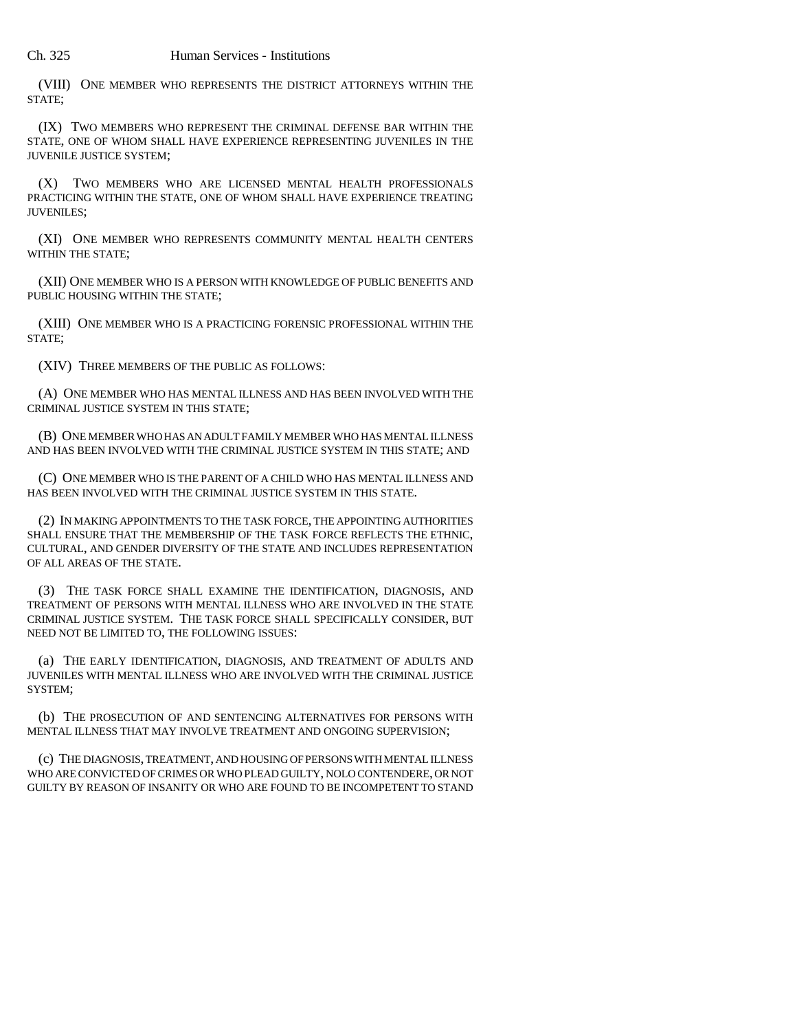## Ch. 325 Human Services - Institutions

(VIII) ONE MEMBER WHO REPRESENTS THE DISTRICT ATTORNEYS WITHIN THE STATE;

(IX) TWO MEMBERS WHO REPRESENT THE CRIMINAL DEFENSE BAR WITHIN THE STATE, ONE OF WHOM SHALL HAVE EXPERIENCE REPRESENTING JUVENILES IN THE JUVENILE JUSTICE SYSTEM;

(X) TWO MEMBERS WHO ARE LICENSED MENTAL HEALTH PROFESSIONALS PRACTICING WITHIN THE STATE, ONE OF WHOM SHALL HAVE EXPERIENCE TREATING JUVENILES;

(XI) ONE MEMBER WHO REPRESENTS COMMUNITY MENTAL HEALTH CENTERS WITHIN THE STATE:

(XII) ONE MEMBER WHO IS A PERSON WITH KNOWLEDGE OF PUBLIC BENEFITS AND PUBLIC HOUSING WITHIN THE STATE;

(XIII) ONE MEMBER WHO IS A PRACTICING FORENSIC PROFESSIONAL WITHIN THE STATE;

(XIV) THREE MEMBERS OF THE PUBLIC AS FOLLOWS:

(A) ONE MEMBER WHO HAS MENTAL ILLNESS AND HAS BEEN INVOLVED WITH THE CRIMINAL JUSTICE SYSTEM IN THIS STATE;

(B) ONE MEMBER WHO HAS AN ADULT FAMILY MEMBER WHO HAS MENTAL ILLNESS AND HAS BEEN INVOLVED WITH THE CRIMINAL JUSTICE SYSTEM IN THIS STATE; AND

(C) ONE MEMBER WHO IS THE PARENT OF A CHILD WHO HAS MENTAL ILLNESS AND HAS BEEN INVOLVED WITH THE CRIMINAL JUSTICE SYSTEM IN THIS STATE.

(2) IN MAKING APPOINTMENTS TO THE TASK FORCE, THE APPOINTING AUTHORITIES SHALL ENSURE THAT THE MEMBERSHIP OF THE TASK FORCE REFLECTS THE ETHNIC, CULTURAL, AND GENDER DIVERSITY OF THE STATE AND INCLUDES REPRESENTATION OF ALL AREAS OF THE STATE.

(3) THE TASK FORCE SHALL EXAMINE THE IDENTIFICATION, DIAGNOSIS, AND TREATMENT OF PERSONS WITH MENTAL ILLNESS WHO ARE INVOLVED IN THE STATE CRIMINAL JUSTICE SYSTEM. THE TASK FORCE SHALL SPECIFICALLY CONSIDER, BUT NEED NOT BE LIMITED TO, THE FOLLOWING ISSUES:

(a) THE EARLY IDENTIFICATION, DIAGNOSIS, AND TREATMENT OF ADULTS AND JUVENILES WITH MENTAL ILLNESS WHO ARE INVOLVED WITH THE CRIMINAL JUSTICE SYSTEM;

(b) THE PROSECUTION OF AND SENTENCING ALTERNATIVES FOR PERSONS WITH MENTAL ILLNESS THAT MAY INVOLVE TREATMENT AND ONGOING SUPERVISION;

(c) THE DIAGNOSIS, TREATMENT, AND HOUSING OF PERSONS WITH MENTAL ILLNESS WHO ARE CONVICTED OF CRIMES OR WHO PLEAD GUILTY, NOLO CONTENDERE, OR NOT GUILTY BY REASON OF INSANITY OR WHO ARE FOUND TO BE INCOMPETENT TO STAND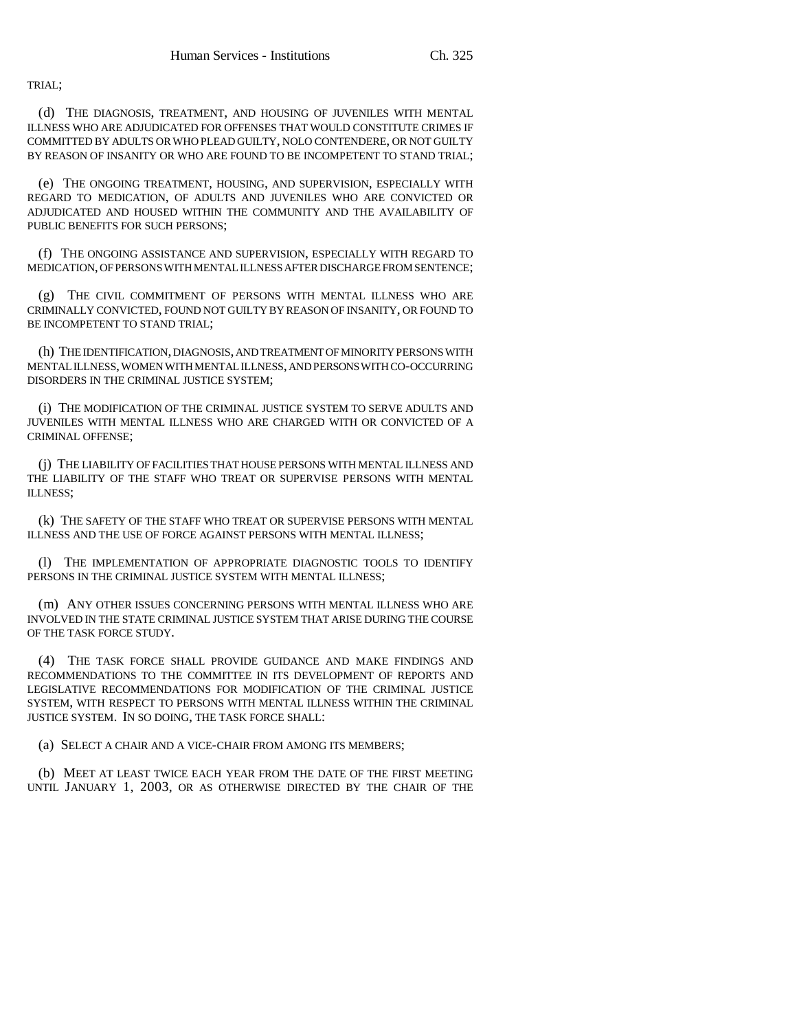TRIAL;

(d) THE DIAGNOSIS, TREATMENT, AND HOUSING OF JUVENILES WITH MENTAL ILLNESS WHO ARE ADJUDICATED FOR OFFENSES THAT WOULD CONSTITUTE CRIMES IF COMMITTED BY ADULTS OR WHO PLEAD GUILTY, NOLO CONTENDERE, OR NOT GUILTY BY REASON OF INSANITY OR WHO ARE FOUND TO BE INCOMPETENT TO STAND TRIAL;

(e) THE ONGOING TREATMENT, HOUSING, AND SUPERVISION, ESPECIALLY WITH REGARD TO MEDICATION, OF ADULTS AND JUVENILES WHO ARE CONVICTED OR ADJUDICATED AND HOUSED WITHIN THE COMMUNITY AND THE AVAILABILITY OF PUBLIC BENEFITS FOR SUCH PERSONS;

(f) THE ONGOING ASSISTANCE AND SUPERVISION, ESPECIALLY WITH REGARD TO MEDICATION, OF PERSONS WITH MENTAL ILLNESS AFTER DISCHARGE FROM SENTENCE;

(g) THE CIVIL COMMITMENT OF PERSONS WITH MENTAL ILLNESS WHO ARE CRIMINALLY CONVICTED, FOUND NOT GUILTY BY REASON OF INSANITY, OR FOUND TO BE INCOMPETENT TO STAND TRIAL;

(h) THE IDENTIFICATION, DIAGNOSIS, AND TREATMENT OF MINORITY PERSONS WITH MENTAL ILLNESS, WOMEN WITH MENTAL ILLNESS, AND PERSONS WITH CO-OCCURRING DISORDERS IN THE CRIMINAL JUSTICE SYSTEM;

(i) THE MODIFICATION OF THE CRIMINAL JUSTICE SYSTEM TO SERVE ADULTS AND JUVENILES WITH MENTAL ILLNESS WHO ARE CHARGED WITH OR CONVICTED OF A CRIMINAL OFFENSE;

(j) THE LIABILITY OF FACILITIES THAT HOUSE PERSONS WITH MENTAL ILLNESS AND THE LIABILITY OF THE STAFF WHO TREAT OR SUPERVISE PERSONS WITH MENTAL ILLNESS;

(k) THE SAFETY OF THE STAFF WHO TREAT OR SUPERVISE PERSONS WITH MENTAL ILLNESS AND THE USE OF FORCE AGAINST PERSONS WITH MENTAL ILLNESS;

(l) THE IMPLEMENTATION OF APPROPRIATE DIAGNOSTIC TOOLS TO IDENTIFY PERSONS IN THE CRIMINAL JUSTICE SYSTEM WITH MENTAL ILLNESS;

(m) ANY OTHER ISSUES CONCERNING PERSONS WITH MENTAL ILLNESS WHO ARE INVOLVED IN THE STATE CRIMINAL JUSTICE SYSTEM THAT ARISE DURING THE COURSE OF THE TASK FORCE STUDY.

(4) THE TASK FORCE SHALL PROVIDE GUIDANCE AND MAKE FINDINGS AND RECOMMENDATIONS TO THE COMMITTEE IN ITS DEVELOPMENT OF REPORTS AND LEGISLATIVE RECOMMENDATIONS FOR MODIFICATION OF THE CRIMINAL JUSTICE SYSTEM, WITH RESPECT TO PERSONS WITH MENTAL ILLNESS WITHIN THE CRIMINAL JUSTICE SYSTEM. IN SO DOING, THE TASK FORCE SHALL:

(a) SELECT A CHAIR AND A VICE-CHAIR FROM AMONG ITS MEMBERS;

(b) MEET AT LEAST TWICE EACH YEAR FROM THE DATE OF THE FIRST MEETING UNTIL JANUARY 1, 2003, OR AS OTHERWISE DIRECTED BY THE CHAIR OF THE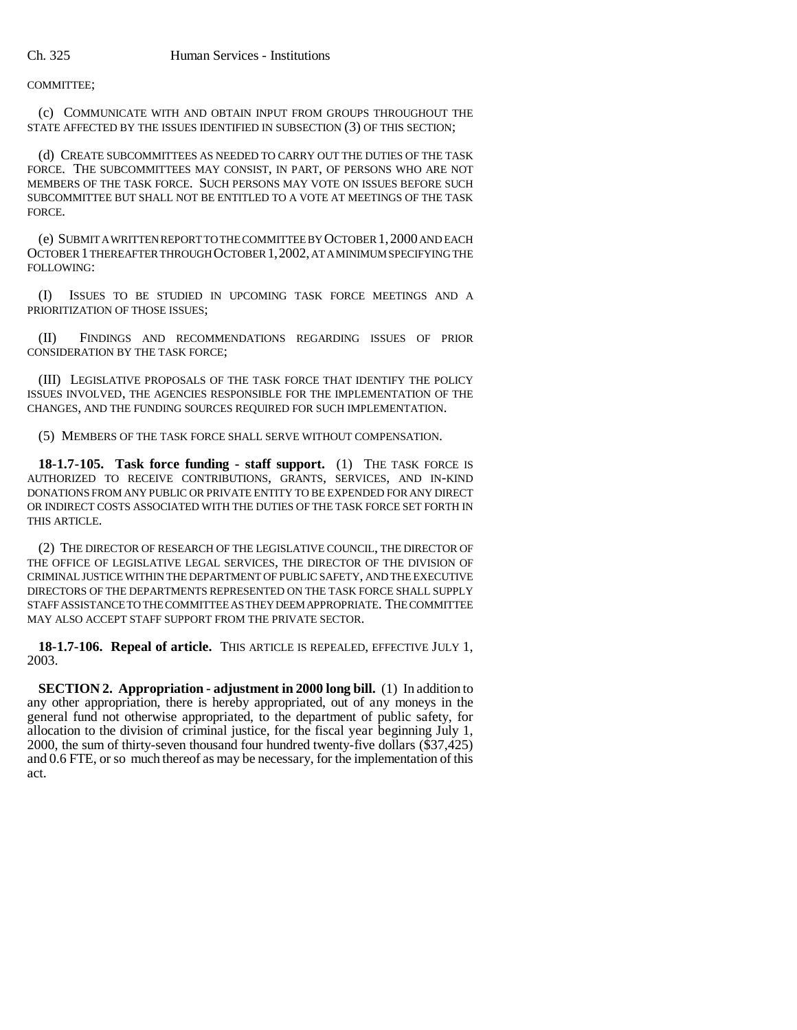COMMITTEE;

(c) COMMUNICATE WITH AND OBTAIN INPUT FROM GROUPS THROUGHOUT THE STATE AFFECTED BY THE ISSUES IDENTIFIED IN SUBSECTION (3) OF THIS SECTION;

(d) CREATE SUBCOMMITTEES AS NEEDED TO CARRY OUT THE DUTIES OF THE TASK FORCE. THE SUBCOMMITTEES MAY CONSIST, IN PART, OF PERSONS WHO ARE NOT MEMBERS OF THE TASK FORCE. SUCH PERSONS MAY VOTE ON ISSUES BEFORE SUCH SUBCOMMITTEE BUT SHALL NOT BE ENTITLED TO A VOTE AT MEETINGS OF THE TASK FORCE.

(e) SUBMIT A WRITTEN REPORT TO THE COMMITTEE BY OCTOBER 1,2000 AND EACH OCTOBER 1 THEREAFTER THROUGH OCTOBER 1,2002, AT A MINIMUM SPECIFYING THE FOLLOWING:

(I) ISSUES TO BE STUDIED IN UPCOMING TASK FORCE MEETINGS AND A PRIORITIZATION OF THOSE ISSUES;

(II) FINDINGS AND RECOMMENDATIONS REGARDING ISSUES OF PRIOR CONSIDERATION BY THE TASK FORCE;

(III) LEGISLATIVE PROPOSALS OF THE TASK FORCE THAT IDENTIFY THE POLICY ISSUES INVOLVED, THE AGENCIES RESPONSIBLE FOR THE IMPLEMENTATION OF THE CHANGES, AND THE FUNDING SOURCES REQUIRED FOR SUCH IMPLEMENTATION.

(5) MEMBERS OF THE TASK FORCE SHALL SERVE WITHOUT COMPENSATION.

**18-1.7-105. Task force funding - staff support.** (1) THE TASK FORCE IS AUTHORIZED TO RECEIVE CONTRIBUTIONS, GRANTS, SERVICES, AND IN-KIND DONATIONS FROM ANY PUBLIC OR PRIVATE ENTITY TO BE EXPENDED FOR ANY DIRECT OR INDIRECT COSTS ASSOCIATED WITH THE DUTIES OF THE TASK FORCE SET FORTH IN THIS ARTICLE.

(2) THE DIRECTOR OF RESEARCH OF THE LEGISLATIVE COUNCIL, THE DIRECTOR OF THE OFFICE OF LEGISLATIVE LEGAL SERVICES, THE DIRECTOR OF THE DIVISION OF CRIMINAL JUSTICE WITHIN THE DEPARTMENT OF PUBLIC SAFETY, AND THE EXECUTIVE DIRECTORS OF THE DEPARTMENTS REPRESENTED ON THE TASK FORCE SHALL SUPPLY STAFF ASSISTANCE TO THE COMMITTEE AS THEY DEEM APPROPRIATE. THE COMMITTEE MAY ALSO ACCEPT STAFF SUPPORT FROM THE PRIVATE SECTOR.

**18-1.7-106. Repeal of article.** THIS ARTICLE IS REPEALED, EFFECTIVE JULY 1, 2003.

**SECTION 2. Appropriation - adjustment in 2000 long bill.** (1) In addition to any other appropriation, there is hereby appropriated, out of any moneys in the general fund not otherwise appropriated, to the department of public safety, for allocation to the division of criminal justice, for the fiscal year beginning July 1, 2000, the sum of thirty-seven thousand four hundred twenty-five dollars (\$37,425) and 0.6 FTE, or so much thereof as may be necessary, for the implementation of this act.